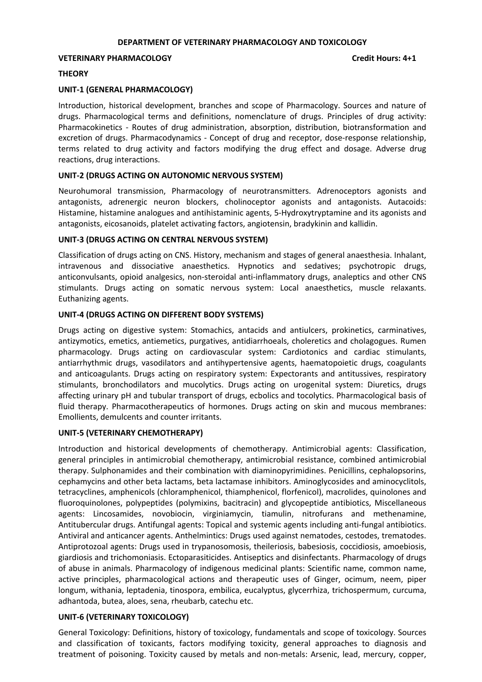#### **DEPARTMENT OF VETERINARY PHARMACOLOGY AND TOXICOLOGY**

#### **VETERINARY PHARMACOLOGY Credit Hours: 4+1**

#### **THEORY**

#### **UNIT-1 (GENERAL PHARMACOLOGY)**

Introduction, historical development, branches and scope of Pharmacology. Sources and nature of drugs. Pharmacological terms and definitions, nomenclature of drugs. Principles of drug activity: Pharmacokinetics - Routes of drug administration, absorption, distribution, biotransformation and excretion of drugs. Pharmacodynamics - Concept of drug and receptor, dose-response relationship, terms related to drug activity and factors modifying the drug effect and dosage. Adverse drug reactions, drug interactions.

### **UNIT-2 (DRUGS ACTING ON AUTONOMIC NERVOUS SYSTEM)**

Neurohumoral transmission, Pharmacology of neurotransmitters. Adrenoceptors agonists and antagonists, adrenergic neuron blockers, cholinoceptor agonists and antagonists. Autacoids: Histamine, histamine analogues and antihistaminic agents, 5-Hydroxytryptamine and its agonists and antagonists, eicosanoids, platelet activating factors, angiotensin, bradykinin and kallidin.

### **UNIT-3 (DRUGS ACTING ON CENTRAL NERVOUS SYSTEM)**

Classification of drugs acting on CNS. History, mechanism and stages of general anaesthesia. Inhalant, intravenous and dissociative anaesthetics. Hypnotics and sedatives; psychotropic drugs, anticonvulsants, opioid analgesics, non-steroidal anti-inflammatory drugs, analeptics and other CNS stimulants. Drugs acting on somatic nervous system: Local anaesthetics, muscle relaxants. Euthanizing agents.

### **UNIT-4 (DRUGS ACTING ON DIFFERENT BODY SYSTEMS)**

Drugs acting on digestive system: Stomachics, antacids and antiulcers, prokinetics, carminatives, antizymotics, emetics, antiemetics, purgatives, antidiarrhoeals, choleretics and cholagogues. Rumen pharmacology. Drugs acting on cardiovascular system: Cardiotonics and cardiac stimulants, antiarrhythmic drugs, vasodilators and antihypertensive agents, haematopoietic drugs, coagulants and anticoagulants. Drugs acting on respiratory system: Expectorants and antitussives, respiratory stimulants, bronchodilators and mucolytics. Drugs acting on urogenital system: Diuretics, drugs affecting urinary pH and tubular transport of drugs, ecbolics and tocolytics. Pharmacological basis of fluid therapy. Pharmacotherapeutics of hormones. Drugs acting on skin and mucous membranes: Emollients, demulcents and counter irritants.

#### **UNIT-5 (VETERINARY CHEMOTHERAPY)**

Introduction and historical developments of chemotherapy. Antimicrobial agents: Classification, general principles in antimicrobial chemotherapy, antimicrobial resistance, combined antimicrobial therapy. Sulphonamides and their combination with diaminopyrimidines. Penicillins, cephalopsorins, cephamycins and other beta lactams, beta lactamase inhibitors. Aminoglycosides and aminocyclitols, tetracyclines, amphenicols (chloramphenicol, thiamphenicol, florfenicol), macrolides, quinolones and fluoroquinolones, polypeptides (polymixins, bacitracin) and glycopeptide antibiotics, Miscellaneous agents: Lincosamides, novobiocin, virginiamycin, tiamulin, nitrofurans and methenamine, Antitubercular drugs. Antifungal agents: Topical and systemic agents including anti-fungal antibiotics. Antiviral and anticancer agents. Anthelmintics: Drugs used against nematodes, cestodes, trematodes. Antiprotozoal agents: Drugs used in trypanosomosis, theileriosis, babesiosis, coccidiosis, amoebiosis, giardiosis and trichomoniasis. Ectoparasiticides. Antiseptics and disinfectants. Pharmacology of drugs of abuse in animals. Pharmacology of indigenous medicinal plants: Scientific name, common name, active principles, pharmacological actions and therapeutic uses of Ginger, ocimum, neem, piper longum, withania, leptadenia, tinospora, embilica, eucalyptus, glycerrhiza, trichospermum, curcuma, adhantoda, butea, aloes, sena, rheubarb, catechu etc.

# **UNIT-6 (VETERINARY TOXICOLOGY)**

General Toxicology: Definitions, history of toxicology, fundamentals and scope of toxicology. Sources and classification of toxicants, factors modifying toxicity, general approaches to diagnosis and treatment of poisoning. Toxicity caused by metals and non-metals: Arsenic, lead, mercury, copper,